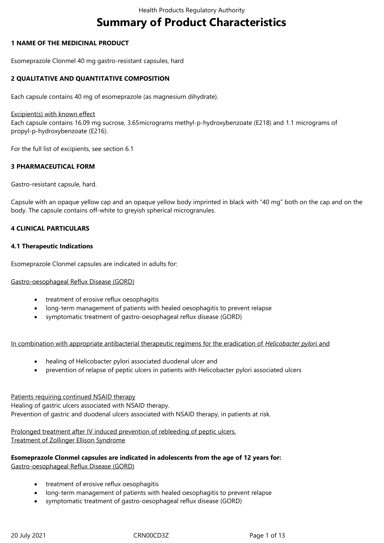# **Summary of Product Characteristics**

### **1 NAME OF THE MEDICINAL PRODUCT**

Esomeprazole Clonmel 40 mg gastro-resistant capsules, hard

### **2 QUALITATIVE AND QUANTITATIVE COMPOSITION**

Each capsule contains 40 mg of esomeprazole (as magnesium dihydrate).

Excipient(s) with known effect

Each capsule contains 16.09 mg sucrose, 3.65micrograms methyl-p-hydroxybenzoate (E218) and 1.1 micrograms of propyl-p-hydroxybenzoate (E216).

For the full list of excipients, see section 6.1

# **3 PHARMACEUTICAL FORM**

Gastro-resistant capsule, hard.

Capsule with an opaque yellow cap and an opaque yellow body imprinted in black with "40 mg" both on the cap and on the body. The capsule contains off-white to greyish spherical microgranules.

### **4 CLINICAL PARTICULARS**

### **4.1 Therapeutic Indications**

Esomeprazole Clonmel capsules are indicated in adults for:

### Gastro-oesophageal Reflux Disease (GORD)

- treatment of erosive reflux oesophagitis
- long-term management of patients with healed oesophagitis to prevent relapse
- symptomatic treatment of gastro-oesophageal reflux disease (GORD)

In combination with appropriate antibacterial therapeutic regimens for the eradication of *Helicobacter pylori* and

- healing of Helicobacter pylori associated duodenal ulcer and
- prevention of relapse of peptic ulcers in patients with Helicobacter pylori associated ulcers

Patients requiring continued NSAID therapy

Healing of gastric ulcers associated with NSAID therapy. Prevention of gastric and duodenal ulcers associated with NSAID therapy, in patients at risk.

Prolonged treatment after IV induced prevention of rebleeding of peptic ulcers. Treatment of Zollinger Ellison Syndrome

### **Esomeprazole Clonmel capsules are indicated in adolescents from the age of 12 years for:**

Gastro-oesophageal Reflux Disease (GORD)

- treatment of erosive reflux oesophagitis
- long-term management of patients with healed oesophagitis to prevent relapse
- symptomatic treatment of gastro-oesophageal reflux disease (GORD)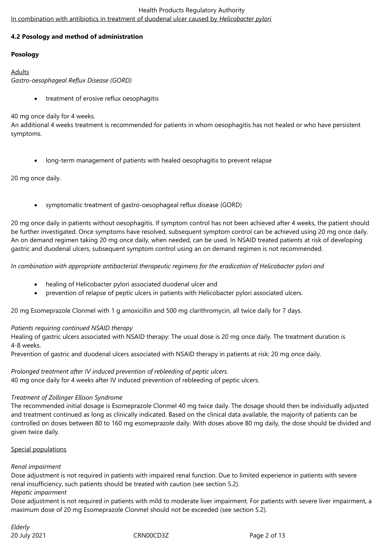# Health Products Regulatory Authority In combination with antibiotics in treatment of duodenal ulcer caused by *Helicobacter pylori*

# **4.2 Posology and method of administration**

# **Posology**

# **Adults** *Gastro-oesophageal Reflux Disease (GORD)*

• treatment of erosive reflux oesophagitis

40 mg once daily for 4 weeks.

An additional 4 weeks treatment is recommended for patients in whom oesophagitis has not healed or who have persistent symptoms.

long-term management of patients with healed oesophagitis to prevent relapse

20 mg once daily.

symptomatic treatment of gastro-oesophageal reflux disease (GORD)

20 mg once daily in patients without oesophagitis. If symptom control has not been achieved after 4 weeks, the patient should be further investigated. Once symptoms have resolved, subsequent symptom control can be achieved using 20 mg once daily. An on demand regimen taking 20 mg once daily, when needed, can be used. In NSAID treated patients at risk of developing gastric and duodenal ulcers, subsequent symptom control using an on demand regimen is not recommended.

*In combination with appropriate antibacterial therapeutic regimens for the eradication of Helicobacter pylori and*

- healing of Helicobacter pylori associated duodenal ulcer and
- prevention of relapse of peptic ulcers in patients with Helicobacter pylori associated ulcers.

20 mg Esomeprazole Clonmel with 1 g amoxicillin and 500 mg clarithromycin, all twice daily for 7 days.

# *Patients requiring continued NSAID therapy*

Healing of gastric ulcers associated with NSAID therapy: The usual dose is 20 mg once daily. The treatment duration is 4‑8 weeks.

Prevention of gastric and duodenal ulcers associated with NSAID therapy in patients at risk: 20 mg once daily.

*Prolonged treatment after IV induced prevention of rebleeding of peptic ulcers.* 40 mg once daily for 4 weeks after IV induced prevention of rebleeding of peptic ulcers.

# *Treatment of Zollinger Ellison Syndrome*

The recommended initial dosage is Esomeprazole Clonmel 40 mg twice daily. The dosage should then be individually adjusted and treatment continued as long as clinically indicated. Based on the clinical data available, the majority of patients can be controlled on doses between 80 to 160 mg esomeprazole daily. With doses above 80 mg daily, the dose should be divided and given twice daily.

# Special populations

# *Renal impairment*

Dose adjustment is not required in patients with impaired renal function. Due to limited experience in patients with severe renal insufficiency, such patients should be treated with caution (see section 5.2).

# *Hepatic impairment*

Dose adjustment is not required in patients with mild to moderate liver impairment. For patients with severe liver impairment, a maximum dose of 20 mg Esomeprazole Clonmel should not be exceeded (see section 5.2).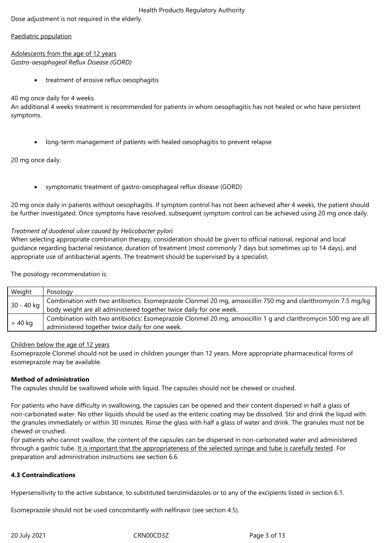Dose adjustment is not required in the elderly.

# Paediatric population

### Adolescents from the age of 12 years *Gastro-oesophageal Reflux Disease (GORD)*

• treatment of erosive reflux oesophagitis

# 40 mg once daily for 4 weeks.

An additional 4 weeks treatment is recommended for patients in whom oesophagitis has not healed or who have persistent symptoms.

long-term management of patients with healed oesophagitis to prevent relapse

20 mg once daily.

symptomatic treatment of gastro-oesophageal reflux disease (GORD)

20 mg once daily in patients without oesophagitis. If symptom control has not been achieved after 4 weeks, the patient should be further investigated. Once symptoms have resolved, subsequent symptom control can be achieved using 20 mg once daily.

# *Treatment of duodenal ulcer caused by Helicobacter pylori*

When selecting appropriate combination therapy, consideration should be given to official national, regional and local guidance regarding bacterial resistance, duration of treatment (most commonly 7 days but sometimes up to 14 days), and appropriate use of antibacterial agents. The treatment should be supervised by a specialist.

The posology recommendation is:

| Weight       | Posology                                                                                                        |
|--------------|-----------------------------------------------------------------------------------------------------------------|
| $30 - 40$ kg | Combination with two antibiotics: Esomeprazole Clonmel 20 mg, amoxicillin 750 mg and clarithromycin 7.5 mg/kg   |
|              | body weight are all administered together twice daily for one week.                                             |
| > 40 kg      | Combination with two antibiotics: Esomeprazole Clonmel 20 mg, amoxicillin 1 g and clarithromycin 500 mg are all |
|              | administered together twice daily for one week.                                                                 |

# Children below the age of 12 years

Esomeprazole Clonmel should not be used in children younger than 12 years. More appropriate pharmaceutical forms of esomeprazole may be available.

# **Method of administration**

The capsules should be swallowed whole with liquid. The capsules should not be chewed or crushed.

For patients who have difficulty in swallowing, the capsules can be opened and their content dispersed in half a glass of non-carbonated water. No other liquids should be used as the enteric coating may be dissolved. Stir and drink the liquid with the granules immediately or within 30 minutes. Rinse the glass with half a glass of water and drink. The granules must not be chewed or crushed.

For patients who cannot swallow, the content of the capsules can be dispersed in non-carbonated water and administered through a gastric tube. It is important that the appropriateness of the selected syringe and tube is carefully tested. For preparation and administration instructions see section 6.6.

# **4.3 Contraindications**

Hypersensitivity to the active substance, to substituted benzimidazoles or to any of the excipients listed in section 6.1.

Esomeprazole should not be used concomitantly with nelfinavir (see section 4.5).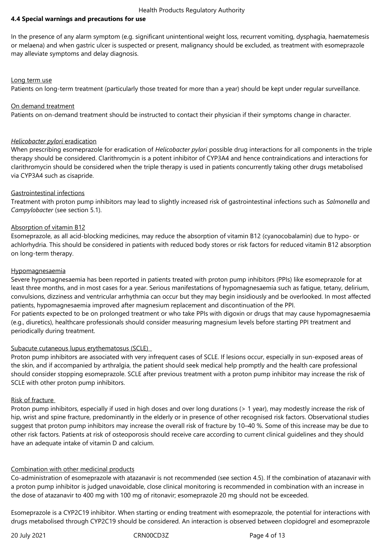### **4.4 Special warnings and precautions for use**

In the presence of any alarm symptom (e.g. significant unintentional weight loss, recurrent vomiting, dysphagia, haematemesis or melaena) and when gastric ulcer is suspected or present, malignancy should be excluded, as treatment with esomeprazole may alleviate symptoms and delay diagnosis.

#### Long term use

Patients on long-term treatment (particularly those treated for more than a year) should be kept under regular surveillance.

#### On demand treatment

Patients on on-demand treatment should be instructed to contact their physician if their symptoms change in character.

#### *Helicobacter pylori* eradication

When prescribing esomeprazole for eradication of *Helicobacter pylori* possible drug interactions for all components in the triple therapy should be considered. Clarithromycin is a potent inhibitor of CYP3A4 and hence contraindications and interactions for clarithromycin should be considered when the triple therapy is used in patients concurrently taking other drugs metabolised via CYP3A4 such as cisapride.

#### Gastrointestinal infections

Treatment with proton pump inhibitors may lead to slightly increased risk of gastrointestinal infections such as *Salmonella* and *Campylobacter* (see section 5.1).

#### Absorption of vitamin B12

Esomeprazole, as all acid-blocking medicines, may reduce the absorption of vitamin B12 (cyanocobalamin) due to hypo- or achlorhydria. This should be considered in patients with reduced body stores or risk factors for reduced vitamin B12 absorption on long-term therapy.

#### Hypomagnesaemia

Severe hypomagnesaemia has been reported in patients treated with proton pump inhibitors (PPIs) like esomeprazole for at least three months, and in most cases for a year. Serious manifestations of hypomagnesaemia such as fatigue, tetany, delirium, convulsions, dizziness and ventricular arrhythmia can occur but they may begin insidiously and be overlooked. In most affected patients, hypomagnesaemia improved after magnesium replacement and discontinuation of the PPI.

For patients expected to be on prolonged treatment or who take PPIs with digoxin or drugs that may cause hypomagnesaemia (e.g., diuretics), healthcare professionals should consider measuring magnesium levels before starting PPI treatment and periodically during treatment.

### Subacute cutaneous lupus erythematosus (SCLE)

Proton pump inhibitors are associated with very infrequent cases of SCLE. If lesions occur, especially in sun-exposed areas of the skin, and if accompanied by arthralgia, the patient should seek medical help promptly and the health care professional should consider stopping esomeprazole. SCLE after previous treatment with a proton pump inhibitor may increase the risk of SCLE with other proton pump inhibitors.

### Risk of fracture

Proton pump inhibitors, especially if used in high doses and over long durations (> 1 year), may modestly increase the risk of hip, wrist and spine fracture, predominantly in the elderly or in presence of other recognised risk factors. Observational studies suggest that proton pump inhibitors may increase the overall risk of fracture by 10–40 %. Some of this increase may be due to other risk factors. Patients at risk of osteoporosis should receive care according to current clinical guidelines and they should have an adequate intake of vitamin D and calcium.

### Combination with other medicinal products

Co-administration of esomeprazole with atazanavir is not recommended (see section 4.5). If the combination of atazanavir with a proton pump inhibitor is judged unavoidable, close clinical monitoring is recommended in combination with an increase in the dose of atazanavir to 400 mg with 100 mg of ritonavir; esomeprazole 20 mg should not be exceeded.

Esomeprazole is a CYP2C19 inhibitor. When starting or ending treatment with esomeprazole, the potential for interactions with drugs metabolised through CYP2C19 should be considered. An interaction is observed between clopidogrel and esomeprazole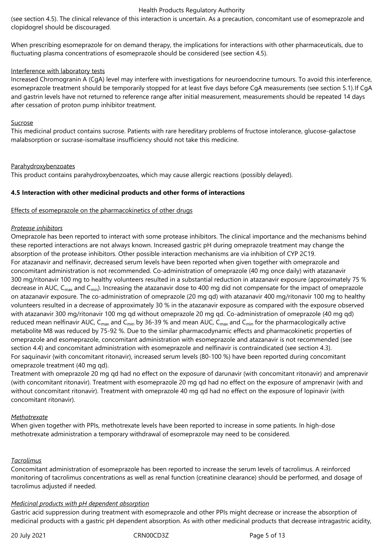(see section 4.5). The clinical relevance of this interaction is uncertain. As a precaution, concomitant use of esomeprazole and clopidogrel should be discouraged.

When prescribing esomeprazole for on demand therapy, the implications for interactions with other pharmaceuticals, due to fluctuating plasma concentrations of esomeprazole should be considered (see section 4.5).

#### Interference with laboratory tests

Increased Chromogranin A (CgA) level may interfere with investigations for neuroendocrine tumours. To avoid this interference, esomeprazole treatment should be temporarily stopped for at least five days before CgA measurements (see section 5.1).If CgA and gastrin levels have not returned to reference range after initial measurement, measurements should be repeated 14 days after cessation of proton pump inhibitor treatment.

#### Sucrose

This medicinal product contains sucrose. Patients with rare hereditary problems of fructose intolerance, glucose-galactose malabsorption or sucrase-isomaltase insufficiency should not take this medicine.

### Parahydroxybenzoates

This product contains parahydroxybenzoates, which may cause allergic reactions (possibly delayed).

### **4.5 Interaction with other medicinal products and other forms of interactions**

#### Effects of esomeprazole on the pharmacokinetics of other drugs

#### *Protease inhibitors*

Omeprazole has been reported to interact with some protease inhibitors. The clinical importance and the mechanisms behind these reported interactions are not always known. Increased gastric pH during omeprazole treatment may change the absorption of the protease inhibitors. Other possible interaction mechanisms are via inhibition of CYP 2C19. For atazanavir and nelfinavir, decreased serum levels have been reported when given together with omeprazole and concomitant administration is not recommended. Co-administration of omeprazole (40 mg once daily) with atazanavir 300 mg/ritonavir 100 mg to healthy volunteers resulted in a substantial reduction in atazanavir exposure (approximately 75 % decrease in AUC, C<sub>max</sub> and C<sub>min</sub>). Increasing the atazanavir dose to 400 mg did not compensate for the impact of omeprazole on atazanavir exposure. The co-administration of omeprazole (20 mg qd) with atazanavir 400 mg/ritonavir 100 mg to healthy volunteers resulted in a decrease of approximately 30 % in the atazanavir exposure as compared with the exposure observed with atazanavir 300 mg/ritonavir 100 mg qd without omeprazole 20 mg qd. Co-administration of omeprazole (40 mg qd) reduced mean nelfinavir AUC,  $C_{max}$  and  $C_{min}$  by 36-39 % and mean AUC,  $C_{max}$  and  $C_{min}$  for the pharmacologically active metabolite M8 was reduced by 75-92 %. Due to the similar pharmacodynamic effects and pharmacokinetic properties of omeprazole and esomeprazole, concomitant administration with esomeprazole and atazanavir is not recommended (see section 4.4) and concomitant administration with esomeprazole and nelfinavir is contraindicated (see section 4.3). For saquinavir (with concomitant ritonavir), increased serum levels (80‑100 %) have been reported during concomitant omeprazole treatment (40 mg qd).

Treatment with omeprazole 20 mg qd had no effect on the exposure of darunavir (with concomitant ritonavir) and amprenavir (with concomitant ritonavir). Treatment with esomeprazole 20 mg qd had no effect on the exposure of amprenavir (with and without concomitant ritonavir). Treatment with omeprazole 40 mg qd had no effect on the exposure of lopinavir (with concomitant ritonavir).

### *Methotrexate*

When given together with PPIs, methotrexate levels have been reported to increase in some patients. In high-dose methotrexate administration a temporary withdrawal of esomeprazole may need to be considered.

### *Tacrolimus*

Concomitant administration of esomeprazole has been reported to increase the serum levels of tacrolimus. A reinforced monitoring of tacrolimus concentrations as well as renal function (creatinine clearance) should be performed, and dosage of tacrolimus adjusted if needed.

### *Medicinal products with pH dependent absorption*

Gastric acid suppression during treatment with esomeprazole and other PPIs might decrease or increase the absorption of medicinal products with a gastric pH dependent absorption. As with other medicinal products that decrease intragastric acidity,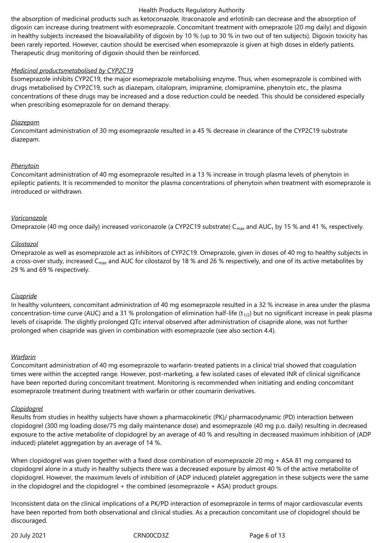the absorption of medicinal products such as ketoconazole, itraconazole and erlotinib can decrease and the absorption of digoxin can increase during treatment with esomeprazole. Concomitant treatment with omeprazole (20 mg daily) and digoxin in healthy subjects increased the bioavailability of digoxin by 10 % (up to 30 % in two out of ten subjects). Digoxin toxicity has been rarely reported. However, caution should be exercised when esomeprazole is given at high doses in elderly patients. Therapeutic drug monitoring of digoxin should then be reinforced.

### *Medicinal productsmetabolised by CYP2C19*

Esomeprazole inhibits CYP2C19, the major esomeprazole metabolising enzyme. Thus, when esomeprazole is combined with drugs metabolised by CYP2C19, such as diazepam, citalopram, imipramine, clomipramine, phenytoin etc., the plasma concentrations of these drugs may be increased and a dose reduction could be needed. This should be considered especially when prescribing esomeprazole for on demand therapy.

### *Diazepam*

Concomitant administration of 30 mg esomeprazole resulted in a 45 % decrease in clearance of the CYP2C19 substrate diazepam.

### *Phenytoin*

Concomitant administration of 40 mg esomeprazole resulted in a 13 % increase in trough plasma levels of phenytoin in epileptic patients. It is recommended to monitor the plasma concentrations of phenytoin when treatment with esomeprazole is introduced or withdrawn.

### *Voriconazole*

Omeprazole (40 mg once daily) increased voriconazole (a CYP2C19 substrate) C<sub>max</sub> and AUC<sub>τ</sub> by 15 % and 41 %, respectively.

### *Cilostazol*

Omeprazole as well as esomeprazole act as inhibitors of CYP2C19. Omeprazole, given in doses of 40 mg to healthy subjects in a cross-over study, increased C<sub>max</sub> and AUC for cilostazol by 18 % and 26 % respectively, and one of its active metabolites by 29 % and 69 % respectively.

# *Cisapride*

In healthy volunteers, concomitant administration of 40 mg esomeprazole resulted in a 32 % increase in area under the plasma concentration-time curve (AUC) and a 31 % prolongation of elimination half-life ( $t_{1/2}$ ) but no significant increase in peak plasma levels of cisapride. The slightly prolonged QTc interval observed after administration of cisapride alone, was not further prolonged when cisapride was given in combination with esomeprazole (see also section 4.4).

### *Warfarin*

Concomitant administration of 40 mg esomeprazole to warfarin-treated patients in a clinical trial showed that coagulation times were within the accepted range. However, post-marketing, a few isolated cases of elevated INR of clinical significance have been reported during concomitant treatment. Monitoring is recommended when initiating and ending concomitant esomeprazole treatment during treatment with warfarin or other coumarin derivatives.

### *Clopidogrel*

Results from studies in healthy subjects have shown a pharmacokinetic (PK)/ pharmacodynamic (PD) interaction between clopidogrel (300 mg loading dose/75 mg daily maintenance dose) and esomeprazole (40 mg p.o. daily) resulting in decreased exposure to the active metabolite of clopidogrel by an average of 40 % and resulting in decreased maximum inhibition of (ADP induced) platelet aggregation by an average of 14 %.

When clopidogrel was given together with a fixed dose combination of esomeprazole 20 mg + ASA 81 mg compared to clopidogrel alone in a study in healthy subjects there was a decreased exposure by almost 40 % of the active metabolite of clopidogrel. However, the maximum levels of inhibition of (ADP induced) platelet aggregation in these subjects were the same in the clopidogrel and the clopidogrel + the combined (esomeprazole + ASA) product groups.

Inconsistent data on the clinical implications of a PK/PD interaction of esomeprazole in terms of major cardiovascular events have been reported from both observational and clinical studies. As a precaution concomitant use of clopidogrel should be discouraged.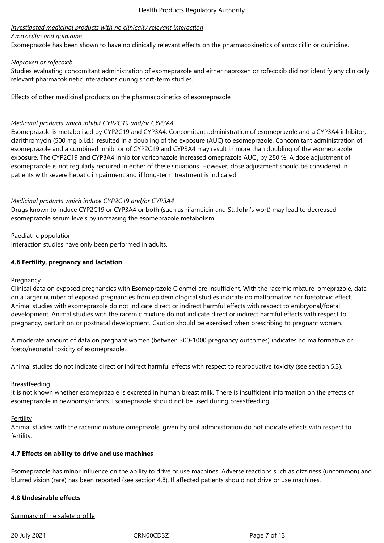### *Investigated medicinal products with no clinically relevant interaction*

### *Amoxicillin and quinidine*

Esomeprazole has been shown to have no clinically relevant effects on the pharmacokinetics of amoxicillin or quinidine.

### *Naproxen or rofecoxib*

Studies evaluating concomitant administration of esomeprazole and either naproxen or rofecoxib did not identify any clinically relevant pharmacokinetic interactions during short-term studies.

### Effects of other medicinal products on the pharmacokinetics of esomeprazole

# *Medicinal products which inhibit CYP2C19 and/or CYP3A4*

Esomeprazole is metabolised by CYP2C19 and CYP3A4. Concomitant administration of esomeprazole and a CYP3A4 inhibitor, clarithromycin (500 mg b.i.d.), resulted in a doubling of the exposure (AUC) to esomeprazole. Concomitant administration of esomeprazole and a combined inhibitor of CYP2C19 and CYP3A4 may result in more than doubling of the esomeprazole exposure. The CYP2C19 and CYP3A4 inhibitor voriconazole increased omeprazole AUC $_{\tau}$  by 280 %. A dose adjustment of esomeprazole is not regularly required in either of these situations. However, dose adjustment should be considered in patients with severe hepatic impairment and if long-term treatment is indicated.

# *Medicinal products which induce CYP2C19 and/or CYP3A4*

Drugs known to induce CYP2C19 or CYP3A4 or both (such as rifampicin and St. John's wort) may lead to decreased esomeprazole serum levels by increasing the esomeprazole metabolism.

### Paediatric population

Interaction studies have only been performed in adults.

# **4.6 Fertility, pregnancy and lactation**

### Pregnancy

Clinical data on exposed pregnancies with Esomeprazole Clonmel are insufficient. With the racemic mixture, omeprazole, data on a larger number of exposed pregnancies from epidemiological studies indicate no malformative nor foetotoxic effect. Animal studies with esomeprazole do not indicate direct or indirect harmful effects with respect to embryonal/foetal development. Animal studies with the racemic mixture do not indicate direct or indirect harmful effects with respect to pregnancy, parturition or postnatal development. Caution should be exercised when prescribing to pregnant women.

A moderate amount of data on pregnant women (between 300-1000 pregnancy outcomes) indicates no malformative or foeto/neonatal toxicity of esomeprazole.

Animal studies do not indicate direct or indirect harmful effects with respect to reproductive toxicity (see section 5.3).

### **Breastfeeding**

It is not known whether esomeprazole is excreted in human breast milk. There is insufficient information on the effects of esomeprazole in newborns/infants. Esomeprazole should not be used during breastfeeding.

### Fertility

Animal studies with the racemic mixture omeprazole, given by oral administration do not indicate effects with respect to fertility.

### **4.7 Effects on ability to drive and use machines**

Esomeprazole has minor influence on the ability to drive or use machines. Adverse reactions such as dizziness (uncommon) and blurred vision (rare) has been reported (see section 4.8). If affected patients should not drive or use machines.

# **4.8 Undesirable effects**

### Summary of the safety profile

20 July 2021 **CRN00CD3Z** Page 7 of 13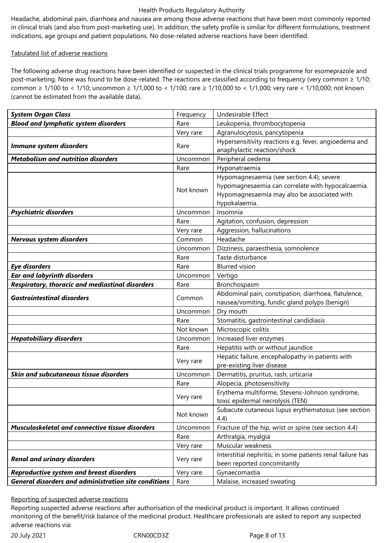Headache, abdominal pain, diarrhoea and nausea are among those adverse reactions that have been most commonly reported in clinical trials (and also from post-marketing use). In addition, the safety profile is similar for different formulations, treatment indications, age groups and patient populations. No dose-related adverse reactions have been identified.

### Tabulated list of adverse reactions

The following adverse drug reactions have been identified or suspected in the clinical trials programme for esomeprazole and post-marketing. None was found to be dose-related. The reactions are classified according to frequency (very common ≥ 1/10; common ≥ 1/100 to < 1/10; uncommon ≥ 1/1,000 to < 1/100; rare ≥ 1/10,000 to < 1/1,000; very rare < 1/10,000; not known (cannot be estimated from the available data).

| <b>System Organ Class</b>                                   | Frequency | Undesirable Effect                                                                                                                                             |
|-------------------------------------------------------------|-----------|----------------------------------------------------------------------------------------------------------------------------------------------------------------|
| <b>Blood and lymphatic system disorders</b>                 | Rare      | Leukopenia, thrombocytopenia                                                                                                                                   |
|                                                             | Very rare | Agranulocytosis, pancytopenia                                                                                                                                  |
| Immune system disorders                                     | Rare      | Hypersensitivity reactions e.g. fever, angioedema and<br>anaphylactic reaction/shock                                                                           |
| <b>Metabolism and nutrition disorders</b>                   | Uncommon  | Peripheral oedema                                                                                                                                              |
|                                                             | Rare      | Hyponatraemia                                                                                                                                                  |
|                                                             | Not known | Hypomagnesaemia (see section 4.4); severe<br>hypomagnesaemia can correlate with hypocalcaemia.<br>Hypomagnesaemia may also be associated with<br>hypokalaemia. |
| <b>Psychiatric disorders</b>                                | Uncommon  | Insomnia                                                                                                                                                       |
|                                                             | Rare      | Agitation, confusion, depression                                                                                                                               |
|                                                             | Very rare | Aggression, hallucinations                                                                                                                                     |
| Nervous system disorders                                    | Common    | Headache                                                                                                                                                       |
|                                                             | Uncommon  | Dizziness, paraesthesia, somnolence                                                                                                                            |
|                                                             | Rare      | Taste disturbance                                                                                                                                              |
| <b>Eye disorders</b>                                        | Rare      | <b>Blurred vision</b>                                                                                                                                          |
| <b>Ear and labyrinth disorders</b>                          | Uncommon  | Vertigo                                                                                                                                                        |
| Respiratory, thoracic and mediastinal disorders             | Rare      | Bronchospasm                                                                                                                                                   |
| <b>Gastrointestinal disorders</b>                           | Common    | Abdominal pain, constipation, diarrhoea, flatulence,<br>nausea/vomiting, fundic gland polyps (benign)                                                          |
|                                                             | Uncommon  | Dry mouth                                                                                                                                                      |
|                                                             | Rare      | Stomatitis, gastrointestinal candidiasis                                                                                                                       |
|                                                             | Not known | Microscopic colitis                                                                                                                                            |
| <b>Hepatobiliary disorders</b>                              | Uncommon  | Increased liver enzymes                                                                                                                                        |
|                                                             | Rare      | Hepatitis with or without jaundice                                                                                                                             |
|                                                             | Very rare | Hepatic failure, encephalopathy in patients with<br>pre-existing liver disease                                                                                 |
| Skin and subcutaneous tissue disorders                      | Uncommon  | Dermatitis, pruritus, rash, urticaria                                                                                                                          |
|                                                             | Rare      | Alopecia, photosensitivity                                                                                                                                     |
|                                                             | Very rare | Erythema multiforme, Stevens-Johnson syndrome,<br>toxic epidermal necrolysis (TEN)                                                                             |
|                                                             | Not known | Subacute cutaneous lupus erythematosus (see section<br>(4.4)                                                                                                   |
| <b>Musculoskeletal and connective tissue disorders</b>      | Uncommon  | Fracture of the hip, wrist or spine (see section 4.4)                                                                                                          |
|                                                             | Rare      | Arthralgia, myalgia                                                                                                                                            |
|                                                             | Very rare | Muscular weakness                                                                                                                                              |
| <b>Renal and urinary disorders</b>                          | Very rare | Interstitial nephritis; in some patients renal failure has<br>been reported concomitantly                                                                      |
| Reproductive system and breast disorders                    | Very rare | Gynaecomastia                                                                                                                                                  |
| <b>General disorders and administration site conditions</b> | Rare      | Malaise, increased sweating                                                                                                                                    |

Reporting of suspected adverse reactions

Reporting suspected adverse reactions after authorisation of the medicinal product is important. It allows continued monitoring of the benefit/risk balance of the medicinal product. Healthcare professionals are asked to report any suspected adverse reactions via: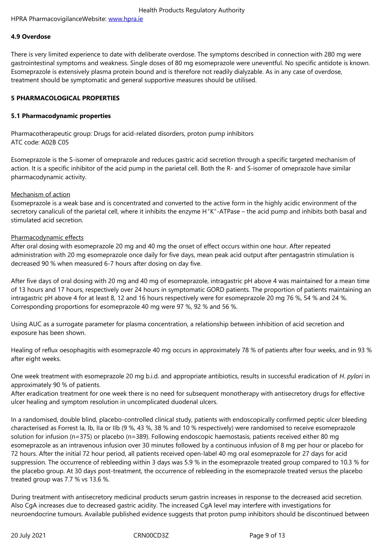#### **4.9 Overdose**

There is very limited experience to [date with de](http://www.hpra.ie/)liberate overdose. The symptoms described in connection with 280 mg were gastrointestinal symptoms and weakness. Single doses of 80 mg esomeprazole were uneventful. No specific antidote is known. Esomeprazole is extensively plasma protein bound and is therefore not readily dialyzable. As in any case of overdose, treatment should be symptomatic and general supportive measures should be utilised.

### **5 PHARMACOLOGICAL PROPERTIES**

### **5.1 Pharmacodynamic properties**

Pharmacotherapeutic group: Drugs for acid-related disorders, proton pump inhibitors ATC code: A02B C05

Esomeprazole is the S-isomer of omeprazole and reduces gastric acid secretion through a specific targeted mechanism of action. It is a specific inhibitor of the acid pump in the parietal cell. Both the R- and S-isomer of omeprazole have similar pharmacodynamic activity.

### Mechanism of action

Esomeprazole is a weak base and is concentrated and converted to the active form in the highly acidic environment of the secretory canaliculi of the parietal cell, where it inhibits the enzyme H<sup>+</sup>K<sup>+</sup>-ATPase – the acid pump and inhibits both basal and stimulated acid secretion.

### Pharmacodynamic effects

After oral dosing with esomeprazole 20 mg and 40 mg the onset of effect occurs within one hour. After repeated administration with 20 mg esomeprazole once daily for five days, mean peak acid output after pentagastrin stimulation is decreased 90 % when measured 6-7 hours after dosing on day five.

After five days of oral dosing with 20 mg and 40 mg of esomeprazole, intragastric pH above 4 was maintained for a mean time of 13 hours and 17 hours, respectively over 24 hours in symptomatic GORD patients. The proportion of patients maintaining an intragastric pH above 4 for at least 8, 12 and 16 hours respectively were for esomeprazole 20 mg 76 %, 54 % and 24 %. Corresponding proportions for esomeprazole 40 mg were 97 %, 92 % and 56 %.

Using AUC as a surrogate parameter for plasma concentration, a relationship between inhibition of acid secretion and exposure has been shown.

Healing of reflux oesophagitis with esomeprazole 40 mg occurs in approximately 78 % of patients after four weeks, and in 93 % after eight weeks.

One week treatment with esomeprazole 20 mg b.i.d. and appropriate antibiotics, results in successful eradication of *H. pylori* in approximately 90 % of patients.

After eradication treatment for one week there is no need for subsequent monotherapy with antisecretory drugs for effective ulcer healing and symptom resolution in uncomplicated duodenal ulcers.

In a randomised, double blind, placebo-controlled clinical study, patients with endoscopically confirmed peptic ulcer bleeding characterised as Forrest Ia, Ib, IIa or IIb (9 %, 43 %, 38 % and 10 % respectively) were randomised to receive esomeprazole solution for infusion (n=375) or placebo (n=389). Following endoscopic haemostasis, patients received either 80 mg esomeprazole as an intravenous infusion over 30 minutes followed by a continuous infusion of 8 mg per hour or placebo for 72 hours. After the initial 72 hour period, all patients received open-label 40 mg oral esomeprazole for 27 days for acid suppression. The occurrence of rebleeding within 3 days was 5.9 % in the esomeprazole treated group compared to 10.3 % for the placebo group. At 30 days post-treatment, the occurrence of rebleeding in the esomeprazole treated versus the placebo treated group was 7.7 % vs 13.6 %.

During treatment with antisecretory medicinal products serum gastrin increases in response to the decreased acid secretion. Also CgA increases due to decreased gastric acidity. The increased CgA level may interfere with investigations for neuroendocrine tumours. Available published evidence suggests that proton pump inhibitors should be discontinued between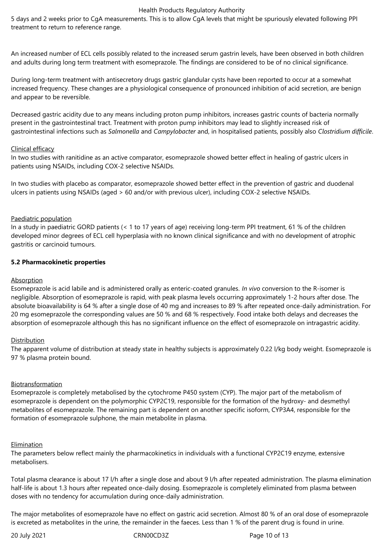5 days and 2 weeks prior to CgA measurements. This is to allow CgA levels that might be spuriously elevated following PPI treatment to return to reference range.

An increased number of ECL cells possibly related to the increased serum gastrin levels, have been observed in both children and adults during long term treatment with esomeprazole. The findings are considered to be of no clinical significance.

During long-term treatment with antisecretory drugs gastric glandular cysts have been reported to occur at a somewhat increased frequency. These changes are a physiological consequence of pronounced inhibition of acid secretion, are benign and appear to be reversible.

Decreased gastric acidity due to any means including proton pump inhibitors, increases gastric counts of bacteria normally present in the gastrointestinal tract. Treatment with proton pump inhibitors may lead to slightly increased risk of gastrointestinal infections such as *Salmonella* and *Campylobacter* and, in hospitalised patients, possibly also *Clostridium difficile*.

#### Clinical efficacy

In two studies with ranitidine as an active comparator, esomeprazole showed better effect in healing of gastric ulcers in patients using NSAIDs, including COX-2 selective NSAIDs.

In two studies with placebo as comparator, esomeprazole showed better effect in the prevention of gastric and duodenal ulcers in patients using NSAIDs (aged > 60 and/or with previous ulcer), including COX-2 selective NSAIDs.

### Paediatric population

In a study in paediatric GORD patients (< 1 to 17 years of age) receiving long-term PPI treatment, 61 % of the children developed minor degrees of ECL cell hyperplasia with no known clinical significance and with no development of atrophic gastritis or carcinoid tumours.

#### **5.2 Pharmacokinetic properties**

### Absorption

Esomeprazole is acid labile and is administered orally as enteric-coated granules. *In vivo* conversion to the R-isomer is negligible. Absorption of esomeprazole is rapid, with peak plasma levels occurring approximately 1-2 hours after dose. The absolute bioavailability is 64 % after a single dose of 40 mg and increases to 89 % after repeated once-daily administration. For 20 mg esomeprazole the corresponding values are 50 % and 68 % respectively. Food intake both delays and decreases the absorption of esomeprazole although this has no significant influence on the effect of esomeprazole on intragastric acidity.

### Distribution

The apparent volume of distribution at steady state in healthy subjects is approximately 0.22 l/kg body weight. Esomeprazole is 97 % plasma protein bound.

### Biotransformation

Esomeprazole is completely metabolised by the cytochrome P450 system (CYP). The major part of the metabolism of esomeprazole is dependent on the polymorphic CYP2C19, responsible for the formation of the hydroxy- and desmethyl metabolites of esomeprazole. The remaining part is dependent on another specific isoform, CYP3A4, responsible for the formation of esomeprazole sulphone, the main metabolite in plasma.

#### Elimination

The parameters below reflect mainly the pharmacokinetics in individuals with a functional CYP2C19 enzyme, extensive metabolisers.

Total plasma clearance is about 17 l/h after a single dose and about 9 l/h after repeated administration. The plasma elimination half-life is about 1.3 hours after repeated once-daily dosing. Esomeprazole is completely eliminated from plasma between doses with no tendency for accumulation during once-daily administration.

The major metabolites of esomeprazole have no effect on gastric acid secretion. Almost 80 % of an oral dose of esomeprazole is excreted as metabolites in the urine, the remainder in the faeces. Less than 1 % of the parent drug is found in urine.

20 July 2021 CRN00CD3Z Page 10 of 13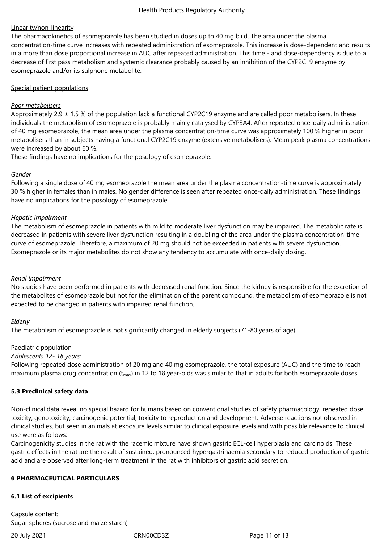### Linearity/non-linearity

The pharmacokinetics of esomeprazole has been studied in doses up to 40 mg b.i.d. The area under the plasma concentration-time curve increases with repeated administration of esomeprazole. This increase is dose-dependent and results in a more than dose proportional increase in AUC after repeated administration. This time - and dose-dependency is due to a decrease of first pass metabolism and systemic clearance probably caused by an inhibition of the CYP2C19 enzyme by esomeprazole and/or its sulphone metabolite.

### Special patient populations

### *Poor metabolisers*

Approximately 2.9  $\pm$  1.5 % of the population lack a functional CYP2C19 enzyme and are called poor metabolisers. In these individuals the metabolism of esomeprazole is probably mainly catalysed by CYP3A4. After repeated once-daily administration of 40 mg esomeprazole, the mean area under the plasma concentration-time curve was approximately 100 % higher in poor metabolisers than in subjects having a functional CYP2C19 enzyme (extensive metabolisers). Mean peak plasma concentrations were increased by about 60 %.

These findings have no implications for the posology of esomeprazole.

### *Gender*

Following a single dose of 40 mg esomeprazole the mean area under the plasma concentration-time curve is approximately 30 % higher in females than in males. No gender difference is seen after repeated once-daily administration. These findings have no implications for the posology of esomeprazole.

### *Hepatic impairment*

The metabolism of esomeprazole in patients with mild to moderate liver dysfunction may be impaired. The metabolic rate is decreased in patients with severe liver dysfunction resulting in a doubling of the area under the plasma concentration-time curve of esomeprazole. Therefore, a maximum of 20 mg should not be exceeded in patients with severe dysfunction. Esomeprazole or its major metabolites do not show any tendency to accumulate with once-daily dosing.

### *Renal impairment*

No studies have been performed in patients with decreased renal function. Since the kidney is responsible for the excretion of the metabolites of esomeprazole but not for the elimination of the parent compound, the metabolism of esomeprazole is not expected to be changed in patients with impaired renal function.

# *Elderly*

The metabolism of esomeprazole is not significantly changed in elderly subjects (71-80 years of age).

### Paediatric population

### *Adolescents 12‑ 18 years:*

Following repeated dose administration of 20 mg and 40 mg esomeprazole, the total exposure (AUC) and the time to reach maximum plasma drug concentration ( $t_{max}$ ) in 12 to 18 year-olds was similar to that in adults for both esomeprazole doses.

### **5.3 Preclinical safety data**

Non-clinical data reveal no special hazard for humans based on conventional studies of safety pharmacology, repeated dose toxicity, genotoxicity, carcinogenic potential, toxicity to reproduction and development. Adverse reactions not observed in clinical studies, but seen in animals at exposure levels similar to clinical exposure levels and with possible relevance to clinical use were as follows:

Carcinogenicity studies in the rat with the racemic mixture have shown gastric ECL-cell hyperplasia and carcinoids. These gastric effects in the rat are the result of sustained, pronounced hypergastrinaemia secondary to reduced production of gastric acid and are observed after long-term treatment in the rat with inhibitors of gastric acid secretion.

### **6 PHARMACEUTICAL PARTICULARS**

### **6.1 List of excipients**

Capsule content: Sugar spheres (sucrose and maize starch)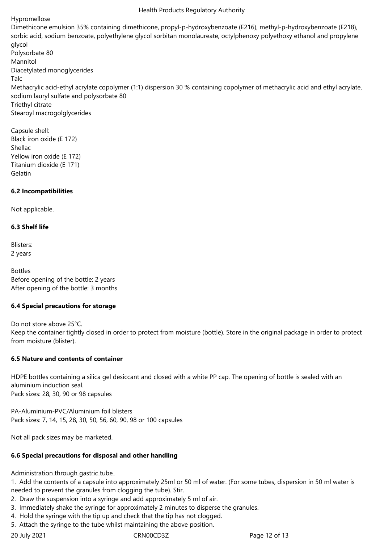Hypromellose

Dimethicone emulsion 35% containing dimethicone, propyl-p-hydroxybenzoate (E216), methyl-p-hydroxybenzoate (E218), sorbic acid, sodium benzoate, polyethylene glycol sorbitan monolaureate, octylphenoxy polyethoxy ethanol and propylene glycol Polysorbate 80 Mannitol Diacetylated monoglycerides Talc Methacrylic acid-ethyl acrylate copolymer (1:1) dispersion 30 % containing copolymer of methacrylic acid and ethyl acrylate, sodium lauryl sulfate and polysorbate 80 Triethyl citrate Stearoyl macrogolglycerides Capsule shell:

Black iron oxide (E 172) Shellac Yellow iron oxide (E 172) Titanium dioxide (E 171) Gelatin

### **6.2 Incompatibilities**

Not applicable.

### **6.3 Shelf life**

Blisters: 2 years

Bottles Before opening of the bottle: 2 years After opening of the bottle: 3 months

### **6.4 Special precautions for storage**

Do not store above 25°C. Keep the container tightly closed in order to protect from moisture (bottle). Store in the original package in order to protect from moisture (blister).

# **6.5 Nature and contents of container**

HDPE bottles containing a silica gel desiccant and closed with a white PP cap. The opening of bottle is sealed with an aluminium induction seal. Pack sizes: 28, 30, 90 or 98 capsules

PA-Aluminium-PVC/Aluminium foil blisters Pack sizes: 7, 14, 15, 28, 30, 50, 56, 60, 90, 98 or 100 capsules

Not all pack sizes may be marketed.

# **6.6 Special precautions for disposal and other handling**

# Administration through gastric tube

1. Add the contents of a capsule into approximately 25ml or 50 ml of water. (For some tubes, dispersion in 50 ml water is needed to prevent the granules from clogging the tube). Stir.

- 2. Draw the suspension into a syringe and add approximately 5 ml of air.
- 3. Immediately shake the syringe for approximately 2 minutes to disperse the granules.
- 4. Hold the syringe with the tip up and check that the tip has not clogged.
- 5. Attach the syringe to the tube whilst maintaining the above position.

20 July 2021 CRN00CD3Z Page 12 of 13